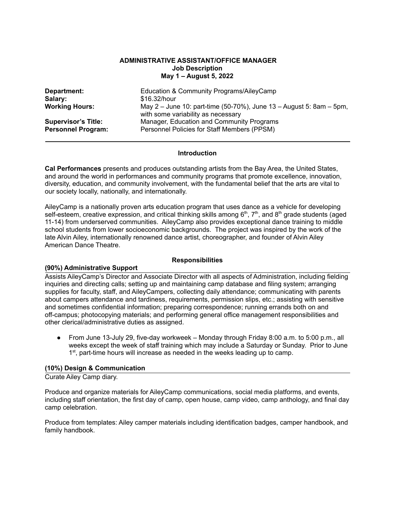### **ADMINISTRATIVE ASSISTANT/OFFICE MANAGER Job Description May 1 – August 5, 2022**

| Department:                | Education & Community Programs/AileyCamp                                                                  |
|----------------------------|-----------------------------------------------------------------------------------------------------------|
| Salary:                    | \$16.32/hour                                                                                              |
| <b>Working Hours:</b>      | May 2 – June 10: part-time (50-70%), June 13 – August 5: 8am – 5pm,<br>with some variability as necessary |
| <b>Supervisor's Title:</b> | Manager, Education and Community Programs                                                                 |
| <b>Personnel Program:</b>  | Personnel Policies for Staff Members (PPSM)                                                               |

#### **Introduction**

**Cal Performances** presents and produces outstanding artists from the Bay Area, the United States, and around the world in performances and community programs that promote excellence, innovation, diversity, education, and community involvement, with the fundamental belief that the arts are vital to our society locally, nationally, and internationally.

AileyCamp is a nationally proven arts education program that uses dance as a vehicle for developing self-esteem, creative expression, and critical thinking skills among 6<sup>th</sup>, 7<sup>th</sup>, and 8<sup>th</sup> grade students (aged 11-14) from underserved communities. AileyCamp also provides exceptional dance training to middle school students from lower socioeconomic backgrounds. The project was inspired by the work of the late Alvin Ailey, internationally renowned dance artist, choreographer, and founder of Alvin Ailey American Dance Theatre.

### **Responsibilities**

# **(90%) Administrative Support**

Assists AileyCamp's Director and Associate Director with all aspects of Administration, including fielding inquiries and directing calls; setting up and maintaining camp database and filing system; arranging supplies for faculty, staff, and AileyCampers, collecting daily attendance; communicating with parents about campers attendance and tardiness, requirements, permission slips, etc.; assisting with sensitive and sometimes confidential information; preparing correspondence; running errands both on and off-campus; photocopying materials; and performing general office management responsibilities and other clerical/administrative duties as assigned.

● From June 13-July 29, five-day workweek – Monday through Friday 8:00 a.m. to 5:00 p.m., all weeks except the week of staff training which may include a Saturday or Sunday. Prior to June 1<sup>st</sup>, part-time hours will increase as needed in the weeks leading up to camp.

### **(10%) Design & Communication**

Curate Ailey Camp diary.

Produce and organize materials for AileyCamp communications, social media platforms, and events, including staff orientation, the first day of camp, open house, camp video, camp anthology, and final day camp celebration.

Produce from templates: Ailey camper materials including identification badges, camper handbook, and family handbook.